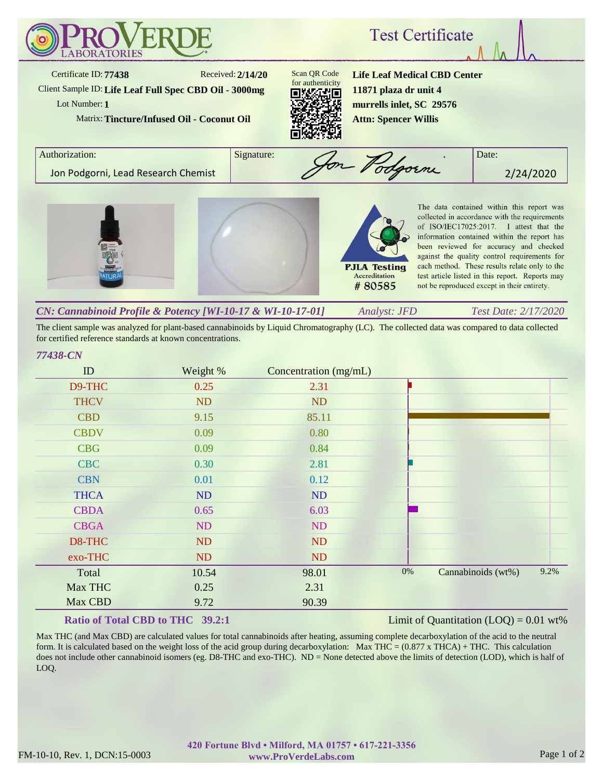

The client sample was analyzed for plant-based cannabinoids by Liquid Chromatography (LC). The collected data was compared to data collected for certified reference standards at known concentrations.

## *77438-CN*

| ID          | Weight %  | Concentration (mg/mL) |       |                    |      |
|-------------|-----------|-----------------------|-------|--------------------|------|
| D9-THC      | 0.25      | 2.31                  |       |                    |      |
| <b>THCV</b> | <b>ND</b> | <b>ND</b>             |       |                    |      |
| <b>CBD</b>  | 9.15      | 85.11                 |       |                    |      |
| <b>CBDV</b> | 0.09      | 0.80                  |       |                    |      |
| <b>CBG</b>  | 0.09      | 0.84                  |       |                    |      |
| <b>CBC</b>  | 0.30      | 2.81                  |       |                    |      |
| <b>CBN</b>  | 0.01      | 0.12                  |       |                    |      |
| <b>THCA</b> | <b>ND</b> | ND                    |       |                    |      |
| <b>CBDA</b> | 0.65      | 6.03                  |       |                    |      |
| <b>CBGA</b> | <b>ND</b> | ND                    |       |                    |      |
| D8-THC      | ND        | <b>ND</b>             |       |                    |      |
| exo-THC     | ND        | <b>ND</b>             |       |                    |      |
| Total       | 10.54     | 98.01                 | $0\%$ | Cannabinoids (wt%) | 9.2% |
| Max THC     | 0.25      | 2.31                  |       |                    |      |
| Max CBD     | 9.72      | 90.39                 |       |                    |      |

## **Ratio of Total CBD to THC 39.2:1**

Limit of Quantitation  $(LOQ) = 0.01$  wt%

Max THC (and Max CBD) are calculated values for total cannabinoids after heating, assuming complete decarboxylation of the acid to the neutral form. It is calculated based on the weight loss of the acid group during decarboxylation: Max THC =  $(0.877 \times THCA) + THC$ . This calculation does not include other cannabinoid isomers (eg. D8-THC and exo-THC). ND = None detected above the limits of detection (LOD), which is half of LOQ.